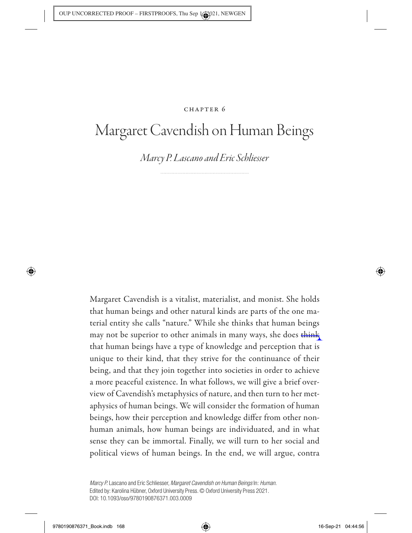# CHAPTER 6

# Margaret Cavendish on Human Beings

*Marcy P. Lascano and Eric Schliesser*

Margaret Cavendish is a vitalist, materialist, and monist. She holds that human beings and other natural kinds are parts of the one material entity she calls "nature." While she thinks that human beings may not be superior to other animals in many ways, she does think that human beings have a type of knowledge and perception that is unique to their kind, that they strive for the continuance of their being, and that they join together into societies in order to achieve a more peaceful existence. In what follows, we will give a brief overview of Cavendish's metaphysics of nature, and then turn to her metaphysics of human beings. We will consider the formation of human beings, how their perception and knowledge differ from other nonhuman animals, how human beings are individuated, and in what sense they can be immortal. Finally, we will turn to her social and political views of human beings. In the end, we will argue, contra

Marcy P. Lascano and Eric Schliesser, Margaret Cavendish on Human Beings In: Human. Edited by: Karolina Hübner, Oxford University Press. © Oxford University Press 2021. DOI: 10.1093/oso/9780190876371.003.0009

◈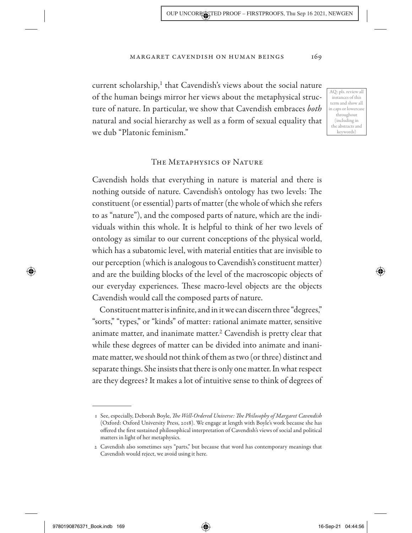current scholarship, $<sup>1</sup>$  that Cavendish's views about the social nature</sup> of the human beings mirror her views about the metaphysical structure of nature. In particular, we show that Cavendish embraces *both* natural and social hierarchy as well as a form of sexual equality that we dub "Platonic feminism."

AQ: pls. review all instances of this term and show all in caps or lowercase throughout (including in the abstracts and keywords)

## The Metaphysics of Nature

Cavendish holds that everything in nature is material and there is nothing outside of nature. Cavendish's ontology has two levels: The constituent (or essential) parts of matter (the whole of which she refers to as "nature"), and the composed parts of nature, which are the individuals within this whole. It is helpful to think of her two levels of ontology as similar to our current conceptions of the physical world, which has a subatomic level, with material entities that are invisible to our perception (which is analogous to Cavendish's constituent matter) and are the building blocks of the level of the macroscopic objects of our everyday experiences. These macro- level objects are the objects Cavendish would call the composed parts of nature.

Constituent matter is infinite, and in it we can discern three "degrees," "sorts," "types," or "kinds" of matter: rational animate matter, sensitive animate matter, and inanimate matter.<sup>2</sup> Cavendish is pretty clear that while these degrees of matter can be divided into animate and inanimate matter, we should not think of them as two (or three) distinct and separate things. She insists that there is only one matter. In what respect are they degrees? It makes a lot of intuitive sense to think of degrees of

↔

 <sup>1</sup> See, especially, Deborah Boyle, *The Well- Ordered Universe: The Philosophy of Margaret Cavendish* (Oxford: Oxford University Press, 2018). We engage at length with Boyle's work because she has offered the first sustained philosophical interpretation of Cavendish's views of social and political matters in light of her metaphysics.

 <sup>2</sup> Cavendish also sometimes says "parts," but because that word has contemporary meanings that Cavendish would reject, we avoid using it here.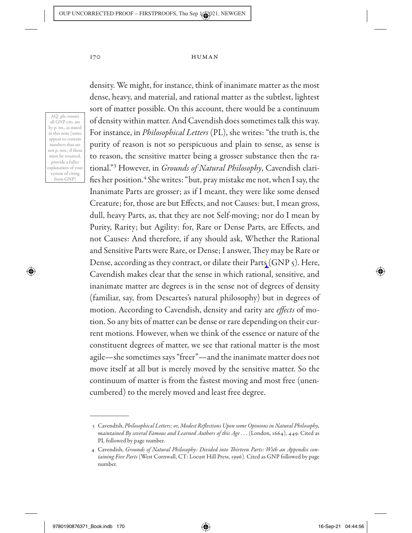AQ: pls. ensure all GNP cits. are by p. no., as stated in this note (some appear to contain numbers that are not p. nos.; if these must be retained, provide a fuller explanation of your system of citing from GNP)

◈

density. We might, for instance, think of inanimate matter as the most dense, heavy, and material, and rational matter as the subtlest, lightest sort of matter possible. On this account, there would be a continuum of density within matter. And Cavendish does sometimes talk this way. For instance, in *Philosophical Letters* (PL), she writes: "the truth is, the purity of reason is not so perspicuous and plain to sense, as sense is to reason, the sensitive matter being a grosser substance then the rational."3 However, in *Grounds of Natural Philosophy*, Cavendish clarifies her position.<sup>4</sup> She writes: "but, pray mistake me not, when I say, the Inanimate Parts are grosser; as if I meant, they were like some densed Creature; for, those are but Effects, and not Causes: but, I mean gross, dull, heavy Parts, as, that they are not Self-moving; nor do I mean by Purity, Rarity; but Agility: for, Rare or Dense Parts, are Effects, and not Causes: And therefore, if any should ask, Whether the Rational and Sensitive Parts were Rare, or Dense; I answer, They may be Rare or Dense, according as they contract, or dilate their Parts (GNP 5). Here, Cavendish makes clear that the sense in which rational, sensitive, and inanimate matter are degrees is in the sense not of degrees of density (familiar, say, from Descartes's natural philosophy) but in degrees of motion. According to Cavendish, density and rarity are *effects* of motion. So any bits of matter can be dense or rare depending on their current motions. However, when we think of the essence or nature of the constituent degrees of matter, we see that rational matter is the most agile— she sometimes says "freer"— and the inanimate matter does not move itself at all but is merely moved by the sensitive matter. So the continuum of matter is from the fastest moving and most free (unencumbered) to the merely moved and least free degree.

 $\textcolor{blue}{\textcircled{\blacklozenge}}$ 

 <sup>3</sup> Cavendish, *Philosophical Letters: or, Modest Reflections Upon some Opinions in Natural Philosophy, maintained By several Famous and Learned Authors of this Age* . . . (London, 1664), 449. Cited as PL followed by page number.

 <sup>4</sup> Cavendish, *Grounds of Natural Philosophy: Divided into Thirteen Parts: With an Appendix containing Five Parts* (West Cornwall, CT: Locust Hill Press, 1996). Cited as GNP followed by page number.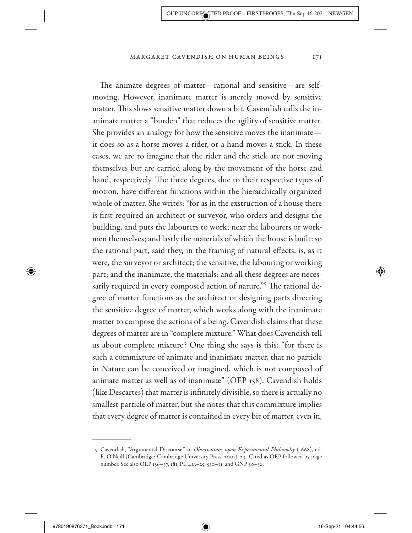The animate degrees of matter— rational and sensitive— are selfmoving. However, inanimate matter is merely moved by sensitive matter. This slows sensitive matter down a bit. Cavendish calls the inanimate matter a "burden" that reduces the agility of sensitive matter. She provides an analogy for how the sensitive moves the inanimate it does so as a horse moves a rider, or a hand moves a stick. In these cases, we are to imagine that the rider and the stick are not moving themselves but are carried along by the movement of the horse and hand, respectively. The three degrees, due to their respective types of motion, have different functions within the hierarchically organized whole of matter. She writes: "for as in the exstruction of a house there is first required an architect or surveyor, who orders and designs the building, and puts the labourers to work; next the labourers or workmen themselves; and lastly the materials of which the house is built: so the rational part, said they, in the framing of natural effects, is, as it were, the surveyor or architect; the sensitive, the labouring or working part; and the inanimate, the materials: and all these degrees are necessarily required in every composed action of nature."<sup>5</sup> The rational degree of matter functions as the architect or designing parts directing the sensitive degree of matter, which works along with the inanimate matter to compose the actions of a being. Cavendish claims that these degrees of matter are in "complete mixture." What does Cavendish tell us about complete mixture? One thing she says is this: "for there is such a commixture of animate and inanimate matter, that no particle in Nature can be conceived or imagined, which is not composed of animate matter as well as of inanimate" (OEP 158). Cavendish holds (like Descartes) that matter is infinitely divisible, so there is actually no smallest particle of matter, but she notes that this commixture implies that every degree of matter is contained in every bit of matter, even in,

 $\textcolor{blue}{\textcircled{\blacklozenge}}$ 

 <sup>5</sup> Cavendish, "Argumental Discourse," in *Observations upon Experimental Philosophy* (1668), ed. E. O'Neill (Cambridge: Cambridge University Press, 2001), 24. Cited as OEP followed by page number. See also OEP 156–57, 181, PL 423–25, 530–31, and GNP 50–52.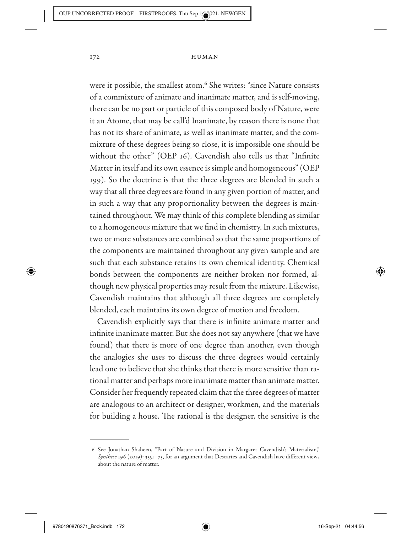were it possible, the smallest atom.<sup>6</sup> She writes: "since Nature consists of a commixture of animate and inanimate matter, and is self- moving, there can be no part or particle of this composed body of Nature, were it an Atome, that may be call'd Inanimate, by reason there is none that has not its share of animate, as well as inanimate matter, and the commixture of these degrees being so close, it is impossible one should be without the other" (OEP 16). Cavendish also tells us that "Infinite Matter in itself and its own essence is simple and homogeneous" (OEP 199). So the doctrine is that the three degrees are blended in such a way that all three degrees are found in any given portion of matter, and in such a way that any proportionality between the degrees is maintained throughout. We may think of this complete blending as similar to a homogeneous mixture that we find in chemistry. In such mixtures, two or more substances are combined so that the same proportions of the components are maintained throughout any given sample and are such that each substance retains its own chemical identity. Chemical bonds between the components are neither broken nor formed, although new physical properties may result from the mixture. Likewise, Cavendish maintains that although all three degrees are completely blended, each maintains its own degree of motion and freedom.

Cavendish explicitly says that there is infinite animate matter and infinite inanimate matter. But she does not say anywhere (that we have found) that there is more of one degree than another, even though the analogies she uses to discuss the three degrees would certainly lead one to believe that she thinks that there is more sensitive than rational matter and perhaps more inanimate matter than animate matter. Consider her frequently repeated claim that the three degrees of matter are analogous to an architect or designer, workmen, and the materials for building a house. The rational is the designer, the sensitive is the

◈

 $\textcolor{blue}{\textcircled{\blacklozenge}}$ 

 <sup>6</sup> See Jonathan Shaheen, "Part of Nature and Division in Margaret Cavendish's Materialism," *Synthese* 196 (2019): 3551– 75, for an argument that Descartes and Cavendish have different views about the nature of matter.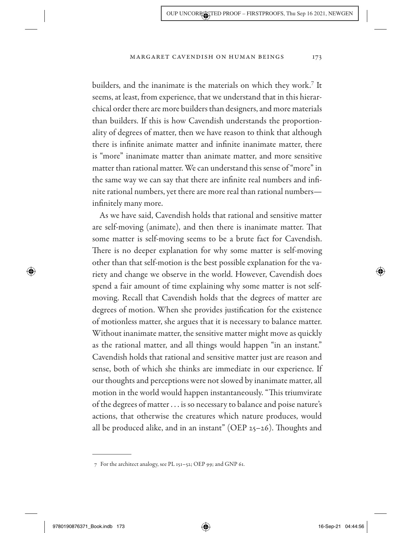builders, and the inanimate is the materials on which they work.7 It seems, at least, from experience, that we understand that in this hierarchical order there are more builders than designers, and more materials than builders. If this is how Cavendish understands the proportionality of degrees of matter, then we have reason to think that although there is infinite animate matter and infinite inanimate matter, there is "more" inanimate matter than animate matter, and more sensitive matter than rational matter. We can understand this sense of "more" in the same way we can say that there are infinite real numbers and infinite rational numbers, yet there are more real than rational numbers infinitely many more.

As we have said, Cavendish holds that rational and sensitive matter are self-moving (animate), and then there is inanimate matter. That some matter is self-moving seems to be a brute fact for Cavendish. There is no deeper explanation for why some matter is self-moving other than that self- motion is the best possible explanation for the variety and change we observe in the world. However, Cavendish does spend a fair amount of time explaining why some matter is not selfmoving. Recall that Cavendish holds that the degrees of matter are degrees of motion. When she provides justification for the existence of motionless matter, she argues that it is necessary to balance matter. Without inanimate matter, the sensitive matter might move as quickly as the rational matter, and all things would happen "in an instant." Cavendish holds that rational and sensitive matter just are reason and sense, both of which she thinks are immediate in our experience. If our thoughts and perceptions were not slowed by inanimate matter, all motion in the world would happen instantaneously. "This triumvirate of the degrees of matter . . . is so necessary to balance and poise nature's actions, that otherwise the creatures which nature produces, would all be produced alike, and in an instant" (OEP  $25-26$ ). Thoughts and

9780190876371\_Book.indb 173 780190876371\_Book.indb 173

↔

 $\textcircled{\textcircled{\char'42}}$ 

<sup>7</sup> For the architect analogy, see PL 151-52; OEP 99; and GNP 61.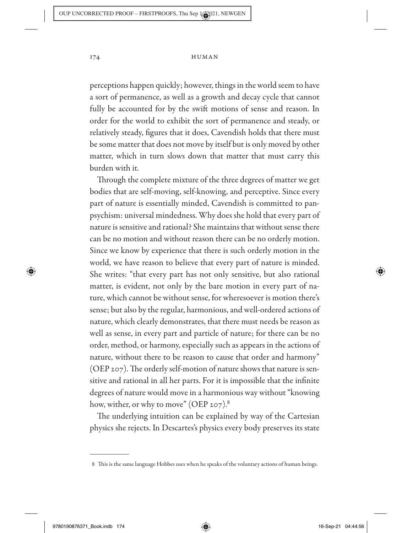perceptions happen quickly; however, things in the world seem to have a sort of permanence, as well as a growth and decay cycle that cannot fully be accounted for by the swift motions of sense and reason. In order for the world to exhibit the sort of permanence and steady, or relatively steady, figures that it does, Cavendish holds that there must be some matter that does not move by itself but is only moved by other matter, which in turn slows down that matter that must carry this burden with it.

Through the complete mixture of the three degrees of matter we get bodies that are self-moving, self-knowing, and perceptive. Since every part of nature is essentially minded, Cavendish is committed to panpsychism: universal mindedness. Why does she hold that every part of nature is sensitive and rational? She maintains that without sense there can be no motion and without reason there can be no orderly motion. Since we know by experience that there is such orderly motion in the world, we have reason to believe that every part of nature is minded. She writes: "that every part has not only sensitive, but also rational matter, is evident, not only by the bare motion in every part of nature, which cannot be without sense, for wheresoever is motion there's sense; but also by the regular, harmonious, and well- ordered actions of nature, which clearly demonstrates, that there must needs be reason as well as sense, in every part and particle of nature; for there can be no order, method, or harmony, especially such as appears in the actions of nature, without there to be reason to cause that order and harmony" (OEP 207). The orderly self-motion of nature shows that nature is sensitive and rational in all her parts. For it is impossible that the infinite degrees of nature would move in a harmonious way without "knowing how, wither, or why to move" (OEP 207).<sup>8</sup>

The underlying intuition can be explained by way of the Cartesian physics she rejects. In Descartes's physics every body preserves its state

◈

 $\textcircled{\textcircled{\char'42}}$ 

 <sup>8</sup> This is the same language Hobbes uses when he speaks of the voluntary actions of human beings.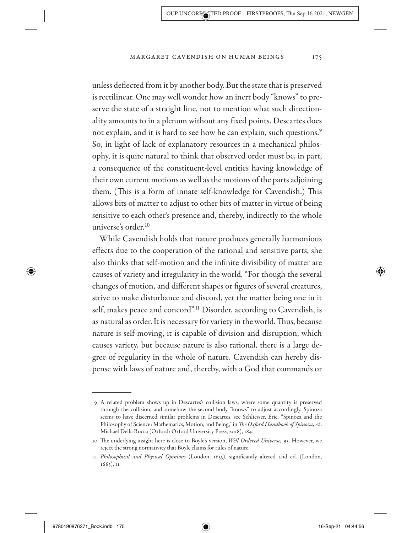unless deflected from it by another body. But the state that is preserved is rectilinear. One may well wonder how an inert body "knows" to preserve the state of a straight line, not to mention what such directionality amounts to in a plenum without any fixed points. Descartes does not explain, and it is hard to see how he can explain, such questions.<sup>9</sup> So, in light of lack of explanatory resources in a mechanical philosophy, it is quite natural to think that observed order must be, in part, a consequence of the constituent-level entities having knowledge of their own current motions as well as the motions of the parts adjoining them. (This is a form of innate self-knowledge for Cavendish.) This allows bits of matter to adjust to other bits of matter in virtue of being sensitive to each other's presence and, thereby, indirectly to the whole universe's order.10

While Cavendish holds that nature produces generally harmonious effects due to the cooperation of the rational and sensitive parts, she also thinks that self-motion and the infinite divisibility of matter are causes of variety and irregularity in the world. "For though the several changes of motion, and different shapes or figures of several creatures, strive to make disturbance and discord, yet the matter being one in it self, makes peace and concord".<sup>11</sup> Disorder, according to Cavendish, is as natural as order. It is necessary for variety in the world. Thus, because nature is self-moving, it is capable of division and disruption, which causes variety, but because nature is also rational, there is a large degree of regularity in the whole of nature. Cavendish can hereby dispense with laws of nature and, thereby, with a God that commands or

◈

 <sup>9</sup> A related problem shows up in Descartes's collision laws, where some quantity is preserved through the collision, and somehow the second body "knows" to adjust accordingly. Spinoza seems to have discerned similar problems in Descartes, see Schliesser, Eric. "Spinoza and the Philosophy of Science: Mathematics, Motion, and Being," in *The Oxford Handbook of Spinoza, e*d. Michael Della Rocca (Oxford: Oxford University Press, 2018), 184.

 <sup>10</sup> The underlying insight here is close to Boyle's version, *Well- Ordered Universe,* 93. However, we reject the strong normativity that Boyle claims for rules of nature.

 <sup>11</sup> *Philosophical and Physical Opinions* (London, 1655), significantly altered 2nd ed. (London, 1663), 11.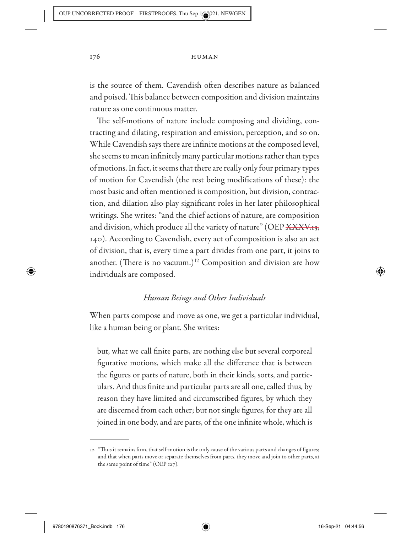is the source of them. Cavendish often describes nature as balanced and poised. This balance between composition and division maintains nature as one continuous matter.

The self-motions of nature include composing and dividing, contracting and dilating, respiration and emission, perception, and so on. While Cavendish says there are infinite motions at the composed level, she seems to mean infinitely many particular motions rather than types of motions. In fact, it seems that there are really only four primary types of motion for Cavendish (the rest being modifications of these): the most basic and often mentioned is composition, but division, contraction, and dilation also play significant roles in her later philosophical writings. She writes: "and the chief actions of nature, are composition and division, which produce all the variety of nature" (OEP  $\frac{1}{13}$ , 140). According to Cavendish, every act of composition is also an act of division, that is, every time a part divides from one part, it joins to another. (There is no vacuum.)<sup>12</sup> Composition and division are how individuals are composed.

# *Human Beings and Other Individuals*

When parts compose and move as one, we get a particular individual, like a human being or plant. She writes:

but, what we call finite parts, are nothing else but several corporeal figurative motions, which make all the difference that is between the figures or parts of nature, both in their kinds, sorts, and particulars. And thus finite and particular parts are all one, called thus, by reason they have limited and circumscribed figures, by which they are discerned from each other; but not single figures, for they are all joined in one body, and are parts, of the one infinite whole, which is

↔

 <sup>12 &</sup>quot;Thus it remains firm, that self- motion is the only cause of the various parts and changes of figures; and that when parts move or separate themselves from parts, they move and join to other parts, at the same point of time" (OEP 127).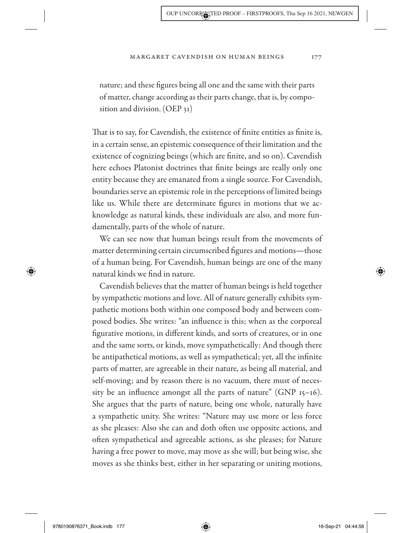nature; and these figures being all one and the same with their parts of matter, change according as their parts change, that is, by composition and division. (OEP 31)

That is to say, for Cavendish, the existence of finite entities as finite is, in a certain sense, an epistemic consequence of their limitation and the existence of cognizing beings (which are finite, and so on). Cavendish here echoes Platonist doctrines that finite beings are really only one entity because they are emanated from a single source. For Cavendish, boundaries serve an epistemic role in the perceptions of limited beings like us. While there are determinate figures in motions that we acknowledge as natural kinds, these individuals are also, and more fundamentally, parts of the whole of nature.

We can see now that human beings result from the movements of matter determining certain circumscribed figures and motions— those of a human being. For Cavendish, human beings are one of the many natural kinds we find in nature.

Cavendish believes that the matter of human beings is held together by sympathetic motions and love. All of nature generally exhibits sympathetic motions both within one composed body and between composed bodies. She writes: "an influence is this; when as the corporeal figurative motions, in different kinds, and sorts of creatures, or in one and the same sorts, or kinds, move sympathetically: And though there be antipathetical motions, as well as sympathetical; yet, all the infinite parts of matter, are agreeable in their nature, as being all material, and self-moving; and by reason there is no vacuum, there must of necessity be an influence amongst all the parts of nature"  $(GNP<sub>15–16</sub>)$ . She argues that the parts of nature, being one whole, naturally have a sympathetic unity. She writes: "Nature may use more or less force as she pleases: Also she can and doth often use opposite actions, and often sympathetical and agreeable actions, as she pleases; for Nature having a free power to move, may move as she will; but being wise, she moves as she thinks best, either in her separating or uniting motions,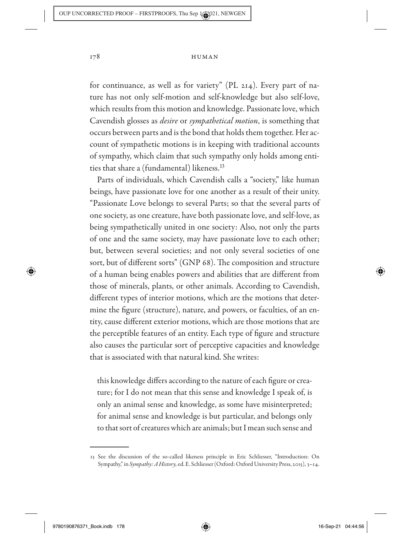for continuance, as well as for variety" (PL 214). Every part of nature has not only self-motion and self-knowledge but also self-love, which results from this motion and knowledge. Passionate love, which Cavendish glosses as *desire* or *sympathetical motion*, is something that occurs between parts and is the bond that holds them together. Her account of sympathetic motions is in keeping with traditional accounts of sympathy, which claim that such sympathy only holds among entities that share a (fundamental) likeness.13

Parts of individuals, which Cavendish calls a "society," like human beings, have passionate love for one another as a result of their unity. "Passionate Love belongs to several Parts; so that the several parts of one society, as one creature, have both passionate love, and self- love, as being sympathetically united in one society: Also, not only the parts of one and the same society, may have passionate love to each other; but, between several societies; and not only several societies of one sort, but of different sorts" (GNP 68). The composition and structure of a human being enables powers and abilities that are different from those of minerals, plants, or other animals. According to Cavendish, different types of interior motions, which are the motions that determine the figure (structure), nature, and powers, or faculties, of an entity, cause different exterior motions, which are those motions that are the perceptible features of an entity. Each type of figure and structure also causes the particular sort of perceptive capacities and knowledge that is associated with that natural kind. She writes:

this knowledge differs according to the nature of each figure or creature; for I do not mean that this sense and knowledge I speak of, is only an animal sense and knowledge, as some have misinterpreted; for animal sense and knowledge is but particular, and belongs only to that sort of creatures which are animals; but I mean such sense and

◈

 <sup>13</sup> See the discussion of the so- called likeness principle in Eric Schliesser, "Introduction: On Sympathy," in *Sympathy: A History,* ed. E. Schliesser (Oxford: Oxford University Press, 2015), 3-14.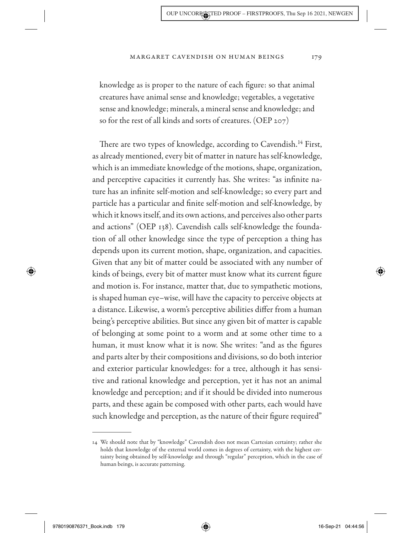knowledge as is proper to the nature of each figure: so that animal creatures have animal sense and knowledge; vegetables, a vegetative sense and knowledge; minerals, a mineral sense and knowledge; and so for the rest of all kinds and sorts of creatures. (OEP 207)

There are two types of knowledge, according to Cavendish.<sup>14</sup> First, as already mentioned, every bit of matter in nature has self-knowledge, which is an immediate knowledge of the motions, shape, organization, and perceptive capacities it currently has. She writes: "as infinite nature has an infinite self-motion and self-knowledge; so every part and particle has a particular and finite self-motion and self-knowledge, by which it knows itself, and its own actions, and perceives also other parts and actions" (OEP 138). Cavendish calls self-knowledge the foundation of all other knowledge since the type of perception a thing has depends upon its current motion, shape, organization, and capacities. Given that any bit of matter could be associated with any number of kinds of beings, every bit of matter must know what its current figure and motion is. For instance, matter that, due to sympathetic motions, is shaped human eye– wise, will have the capacity to perceive objects at a distance. Likewise, a worm's perceptive abilities differ from a human being's perceptive abilities. But since any given bit of matter is capable of belonging at some point to a worm and at some other time to a human, it must know what it is now. She writes: "and as the figures and parts alter by their compositions and divisions, so do both interior and exterior particular knowledges: for a tree, although it has sensitive and rational knowledge and perception, yet it has not an animal knowledge and perception; and if it should be divided into numerous parts, and these again be composed with other parts, each would have such knowledge and perception, as the nature of their figure required"

 $\textcolor{blue}{\textcircled{\blacklozenge}}$ 

 <sup>14</sup> We should note that by "knowledge" Cavendish does not mean Cartesian certainty; rather she holds that knowledge of the external world comes in degrees of certainty, with the highest certainty being obtained by self-knowledge and through "regular" perception, which in the case of human beings, is accurate patterning.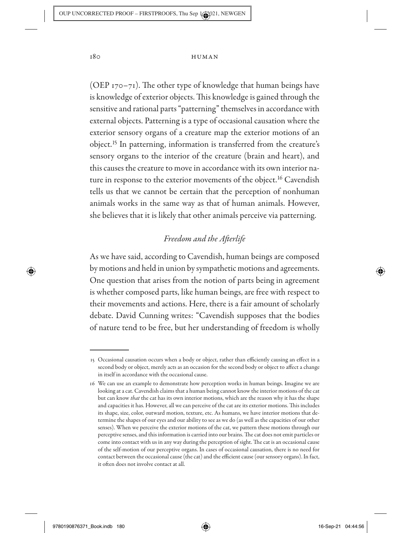(OEP  $170-71$ ). The other type of knowledge that human beings have is knowledge of exterior objects. This knowledge is gained through the sensitive and rational parts "patterning" themselves in accordance with external objects. Patterning is a type of occasional causation where the exterior sensory organs of a creature map the exterior motions of an object.15 In patterning, information is transferred from the creature's sensory organs to the interior of the creature (brain and heart), and this causes the creature to move in accordance with its own interior nature in response to the exterior movements of the object.<sup>16</sup> Cavendish tells us that we cannot be certain that the perception of nonhuman animals works in the same way as that of human animals. However, she believes that it is likely that other animals perceive via patterning.

# *Freedom and the Afterlife*

As we have said, according to Cavendish, human beings are composed by motions and held in union by sympathetic motions and agreements. One question that arises from the notion of parts being in agreement is whether composed parts, like human beings, are free with respect to their movements and actions. Here, there is a fair amount of scholarly debate. David Cunning writes: "Cavendish supposes that the bodies of nature tend to be free, but her understanding of freedom is wholly

◈

 <sup>15</sup> Occasional causation occurs when a body or object, rather than efficiently causing an effect in a second body or object, merely acts as an occasion for the second body or object to affect a change in itself in accordance with the occasional cause.

 <sup>16</sup> We can use an example to demonstrate how perception works in human beings. Imagine we are looking at a cat. Cavendish claims that a human being cannot know the interior motions of the cat but can know *that* the cat has its own interior motions, which are the reason why it has the shape and capacities it has. However, all we can perceive of the cat are its exterior motions. This includes its shape, size, color, outward motion, texture, etc. As humans, we have interior motions that determine the shapes of our eyes and our ability to see as we do (as well as the capacities of our other senses). When we perceive the exterior motions of the cat, we pattern these motions through our perceptive senses, and this information is carried into our brains. The cat does not emit particles or come into contact with us in any way during the perception of sight. The cat is an occasional cause of the self- motion of our perceptive organs. In cases of occasional causation, there is no need for contact between the occasional cause (the cat) and the efficient cause (our sensory organs). In fact, it often does not involve contact at all.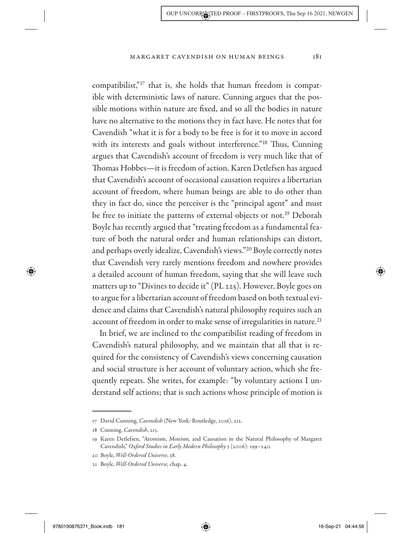compatibilist,"17 that is, she holds that human freedom is compatible with deterministic laws of nature. Cunning argues that the possible motions within nature are fixed, and so all the bodies in nature have no alternative to the motions they in fact have. He notes that for Cavendish "what it is for a body to be free is for it to move in accord with its interests and goals without interference."<sup>18</sup> Thus, Cunning argues that Cavendish's account of freedom is very much like that of Thomas Hobbes— it is freedom of action. Karen Detlefsen has argued that Cavendish's account of occasional causation requires a libertarian account of freedom, where human beings are able to do other than they in fact do, since the perceiver is the "principal agent" and must be free to initiate the patterns of external objects or not.<sup>19</sup> Deborah Boyle has recently argued that "treating freedom as a fundamental feature of both the natural order and human relationships can distort, and perhaps overly idealize, Cavendish's views."20 Boyle correctly notes that Cavendish very rarely mentions freedom and nowhere provides a detailed account of human freedom, saying that she will leave such matters up to "Divines to decide it" (PL 225). However, Boyle goes on to argue for a libertarian account of freedom based on both textual evidence and claims that Cavendish's natural philosophy requires such an account of freedom in order to make sense of irregularities in nature.<sup>21</sup>

In brief, we are inclined to the compatibilist reading of freedom in Cavendish's natural philosophy, and we maintain that all that is required for the consistency of Cavendish's views concerning causation and social structure is her account of voluntary action, which she frequently repeats. She writes, for example: "by voluntary actions I understand self actions; that is such actions whose principle of motion is

 $\textcolor{blue}{\textcircled{\blacklozenge}}$ 

 <sup>17</sup> David Cunning, *Cavendish* (New York: Routledge, 2016), 212.

 <sup>18</sup> Cunning, *Cavendish*, 213.

 <sup>19</sup> Karen Detlefsen, "Atomism, Monism, and Causation in the Natural Philosophy of Margaret Cavendish," Oxford Studies in Early Modern Philosophy 3 (2006): 199-240.

 <sup>20</sup> Boyle, *Well- Ordered Universe*, 38.

 <sup>21</sup> Boyle, *Well- Ordered Universe,* chap. 4.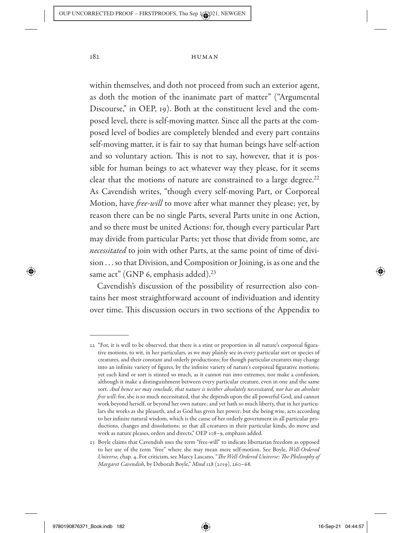within themselves, and doth not proceed from such an exterior agent, as doth the motion of the inanimate part of matter" ("Argumental Discourse," in OEP, 19). Both at the constituent level and the composed level, there is self- moving matter. Since all the parts at the composed level of bodies are completely blended and every part contains self-moving matter, it is fair to say that human beings have self-action and so voluntary action. This is not to say, however, that it is possible for human beings to act whatever way they please, for it seems clear that the motions of nature are constrained to a large degree. $22$ As Cavendish writes, "though every self-moving Part, or Corporeal Motion, have *free-will* to move after what manner they please; yet, by reason there can be no single Parts, several Parts unite in one Action, and so there must be united Actions: for, though every particular Part may divide from particular Parts; yet those that divide from some, are *necessitated* to join with other Parts, at the same point of time of division . . . so that Division, and Composition or Joining, is as one and the same act" (GNP 6, emphasis added).<sup>23</sup>

Cavendish's discussion of the possibility of resurrection also contains her most straightforward account of individuation and identity over time. This discussion occurs in two sections of the Appendix to

◈

 <sup>22 &</sup>quot;For, it is well to be observed, that there is a stint or proportion in all nature's corporeal figurative motions, to wit, in her particulars, as we may plainly see in every particular sort or species of creatures, and their constant and orderly productions; for though particular creatures may change into an infinite variety of figures, by the infinite variety of nature's corporeal figurative motions; yet each kind or sort is stinted so much, as it cannot run into extremes, nor make a confusion, although it make a distinguishment between every particular creature, even in one and the same sort. *And hence we may conclude, that nature is neither absolutely necessitated, nor has an absolute free will*: for, she is so much necessitated, that she depends upon the all powerful God, and cannot work beyond herself, or beyond her own nature; and yet hath so much liberty, that in her particulars she works as she pleaseth, and as God has given her power; but she being wise, acts according to her infinite natural wisdom, which is the cause of her orderly government in all particular productions, changes and dissolutions; so that all creatures in their particular kinds, do move and work as nature pleases, orders and directs," OEP 108-9, emphasis added.

 <sup>23</sup> Boyle claims that Cavendish uses the term "free- will" to indicate libertarian freedom as opposed to her use of the term "free" where she may mean mere self- motion. See Boyle, *Well- Ordered Universe,* chap. 4. For criticism, see Marcy Lascano, "*The Well- Ordered Universe: The Philosophy of Margaret Cavendish, by Deborah Boyle," Mind 128 (2019), 260-68.*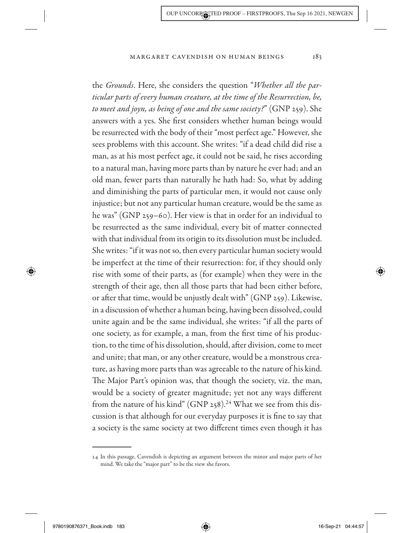the *Grounds*. Here, she considers the question "*Whether all the particular parts of every human creature, at the time of the Resurrection, be, to meet and joyn, as being of one and the same society?*" (GNP 259). She answers with a yes. She first considers whether human beings would be resurrected with the body of their "most perfect age." However, she sees problems with this account. She writes: "if a dead child did rise a man, as at his most perfect age, it could not be said, he rises according to a natural man, having more parts than by nature he ever had; and an old man, fewer parts than naturally he hath had: So, what by adding and diminishing the parts of particular men, it would not cause only injustice; but not any particular human creature, would be the same as he was" (GNP 259–60). Her view is that in order for an individual to be resurrected as the same individual, every bit of matter connected with that individual from its origin to its dissolution must be included. She writes: "if it was not so, then every particular human society would be imperfect at the time of their resurrection: for, if they should only rise with some of their parts, as (for example) when they were in the strength of their age, then all those parts that had been either before, or after that time, would be unjustly dealt with" (GNP 259). Likewise, in a discussion of whether a human being, having been dissolved, could unite again and be the same individual, she writes: "if all the parts of one society, as for example, a man, from the first time of his production, to the time of his dissolution, should, after division, come to meet and unite; that man, or any other creature, would be a monstrous creature, as having more parts than was agreeable to the nature of his kind. The Major Part's opinion was, that though the society, viz. the man, would be a society of greater magnitude; yet not any ways different from the nature of his kind" (GNP 258).<sup>24</sup> What we see from this discussion is that although for our everyday purposes it is fine to say that a society is the same society at two different times even though it has

 $\textcolor{blue}{\textcircled{\blacklozenge}}$ 

 <sup>24</sup> In this passage, Cavendish is depicting an argument between the minor and major parts of her mind. We take the "major part" to be the view she favors.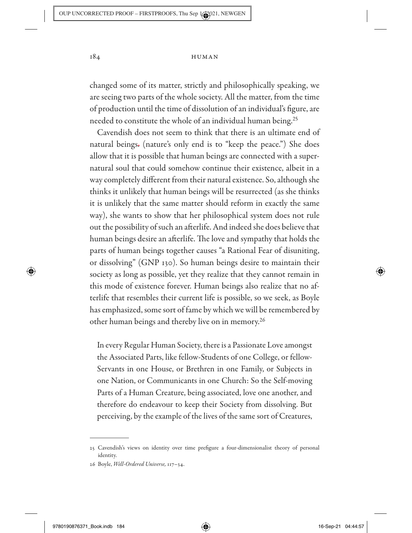changed some of its matter, strictly and philosophically speaking, we are seeing two parts of the whole society. All the matter, from the time of production until the time of dissolution of an individual's figure, are needed to constitute the whole of an individual human being.<sup>25</sup>

Cavendish does not seem to think that there is an ultimate end of natural beings. (nature's only end is to "keep the peace.") She does allow that it is possible that human beings are connected with a supernatural soul that could somehow continue their existence, albeit in a way completely different from their natural existence. So, although she thinks it unlikely that human beings will be resurrected (as she thinks it is unlikely that the same matter should reform in exactly the same way), she wants to show that her philosophical system does not rule out the possibility of such an afterlife. And indeed she does believe that human beings desire an afterlife. The love and sympathy that holds the parts of human beings together causes "a Rational Fear of disuniting, or dissolving" (GNP 130). So human beings desire to maintain their society as long as possible, yet they realize that they cannot remain in this mode of existence forever. Human beings also realize that no afterlife that resembles their current life is possible, so we seek, as Boyle has emphasized, some sort of fame by which we will be remembered by other human beings and thereby live on in memory.26

In every Regular Human Society, there is a Passionate Love amongst the Associated Parts, like fellow- Students of one College, or fellow-Servants in one House, or Brethren in one Family, or Subjects in one Nation, or Communicants in one Church: So the Self-moving Parts of a Human Creature, being associated, love one another, and therefore do endeavour to keep their Society from dissolving. But perceiving, by the example of the lives of the same sort of Creatures,

◈

 <sup>25</sup> Cavendish's views on identity over time prefigure a four- dimensionalist theory of personal identity.

 <sup>26</sup> Boyle, *Well- Ordered Universe,* 117– 34.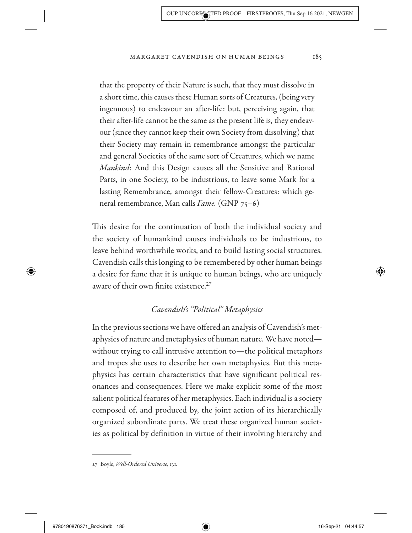that the property of their Nature is such, that they must dissolve in a short time, this causes these Human sorts of Creatures, (being very ingenuous) to endeavour an after-life: but, perceiving again, that their after-life cannot be the same as the present life is, they endeavour (since they cannot keep their own Society from dissolving) that their Society may remain in remembrance amongst the particular and general Societies of the same sort of Creatures, which we name *Mankind*: And this Design causes all the Sensitive and Rational Parts, in one Society, to be industrious, to leave some Mark for a lasting Remembrance, amongst their fellow- Creatures: which general remembrance, Man calls *Fame.* (GNP 75– 6)

This desire for the continuation of both the individual society and the society of humankind causes individuals to be industrious, to leave behind worthwhile works, and to build lasting social structures. Cavendish calls this longing to be remembered by other human beings a desire for fame that it is unique to human beings, who are uniquely aware of their own finite existence.<sup>27</sup>

# *Cavendish's "Political" Metaphysics*

In the previous sections we have offered an analysis of Cavendish's metaphysics of nature and metaphysics of human nature. We have noted without trying to call intrusive attention to— the political metaphors and tropes she uses to describe her own metaphysics. But this metaphysics has certain characteristics that have significant political resonances and consequences. Here we make explicit some of the most salient political features of her metaphysics. Each individual is a society composed of, and produced by, the joint action of its hierarchically organized subordinate parts. We treat these organized human societies as political by definition in virtue of their involving hierarchy and

9780190876371\_Book.indb 185 780190876371\_Book.indb 185

↔

 $\textcolor{blue}{\textcircled{\blacklozenge}}$ 

 <sup>27</sup> Boyle, *Well- Ordered Universe,* 131.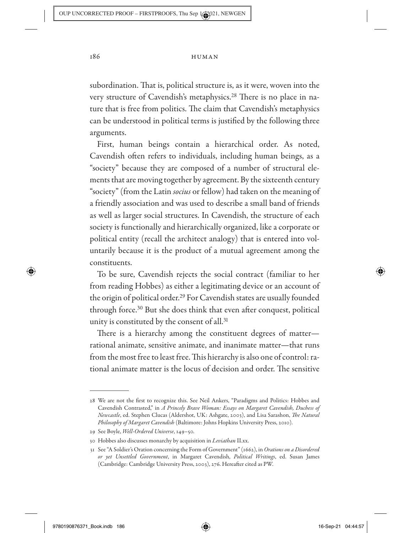subordination. That is, political structure is, as it were, woven into the very structure of Cavendish's metaphysics.<sup>28</sup> There is no place in nature that is free from politics. The claim that Cavendish's metaphysics can be understood in political terms is justified by the following three arguments.

First, human beings contain a hierarchical order. As noted, Cavendish often refers to individuals, including human beings, as a "society" because they are composed of a number of structural elements that are moving together by agreement. By the sixteenth century "society" (from the Latin *socius* or fellow) had taken on the meaning of a friendly association and was used to describe a small band of friends as well as larger social structures. In Cavendish, the structure of each society is functionally and hierarchically organized, like a corporate or political entity (recall the architect analogy) that is entered into voluntarily because it is the product of a mutual agreement among the constituents.

To be sure, Cavendish rejects the social contract (familiar to her from reading Hobbes) as either a legitimating device or an account of the origin of political order.29 For Cavendish states are usually founded through force.30 But she does think that even after conquest, political unity is constituted by the consent of all.31

There is a hierarchy among the constituent degrees of matter rational animate, sensitive animate, and inanimate matter— that runs from the most free to least free. This hierarchy is also one of control: rational animate matter is the locus of decision and order. The sensitive

↔

 <sup>28</sup> We are not the first to recognize this. See Neil Ankers, "Paradigms and Politics: Hobbes and Cavendish Contrasted," in *A Princely Brave Woman: Essays on Margaret Cavendish, Duchess of Newcastle*, ed. Stephen Clucas (Aldershot, UK: Ashgate, 2003), and Lisa Sarashon, *The Natural Philosophy of Margaret Cavendish* (Baltimore: Johns Hopkins University Press, 2010).

<sup>29</sup> See Boyle, Well-Ordered Universe, 149-50.

 <sup>30</sup> Hobbes also discusses monarchy by acquisition in *Leviathan* II.xx.

 <sup>31</sup> See "A Soldier's Oration concerning the Form of Government" (1662), in *Orations on a Disordered or yet Unsettled Government*, in Margaret Cavendish, *Political Writings*, ed. Susan James (Cambridge: Cambridge University Press, 2003), 276. Hereafter cited as PW.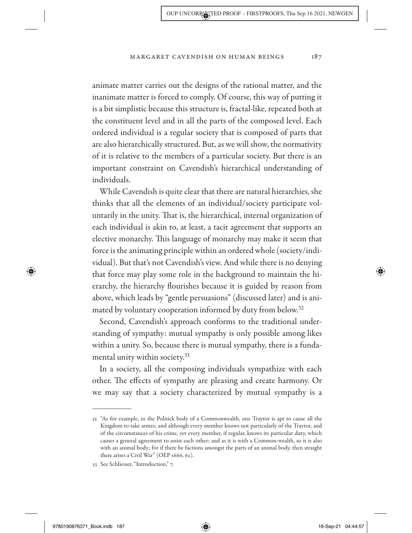animate matter carries out the designs of the rational matter, and the inanimate matter is forced to comply. Of course, this way of putting it is a bit simplistic because this structure is, fractal- like, repeated both at the constituent level and in all the parts of the composed level. Each ordered individual is a regular society that is composed of parts that are also hierarchically structured. But, as we will show, the normativity of it is relative to the members of a particular society. But there is an important constraint on Cavendish's hierarchical understanding of individuals.

While Cavendish is quite clear that there are natural hierarchies, she thinks that all the elements of an individual/ society participate voluntarily in the unity. That is, the hierarchical, internal organization of each individual is akin to, at least, a tacit agreement that supports an elective monarchy. This language of monarchy may make it seem that force is the animating principle within an ordered whole (society/ individual). But that's not Cavendish's view. And while there is no denying that force may play some role in the background to maintain the hierarchy, the hierarchy flourishes because it is guided by reason from above, which leads by "gentle persuasions" (discussed later) and is animated by voluntary cooperation informed by duty from below.<sup>32</sup>

Second, Cavendish's approach conforms to the traditional understanding of sympathy: mutual sympathy is only possible among likes within a unity. So, because there is mutual sympathy, there is a fundamental unity within society.33

In a society, all the composing individuals sympathize with each other. The effects of sympathy are pleasing and create harmony. Or we may say that a society characterized by mutual sympathy is a

 <sup>32 &</sup>quot;As for example, in the Politick body of a Commonwealth, one Traytor is apt to cause all the Kingdom to take armes; and although every member knows not particularly of the Traytor, and of the circumstances of his crime, yet every member, if regular, knows its particular duty, which causes a general agreement to assist each other; and as it is with a Common- wealth, so it is also with an animal body; for if there be factions amongst the parts of an animal body, then straight there arises a Civil War" (OEP 1666, 62).

 <sup>33</sup> See Schliesser, "Introduction," 7.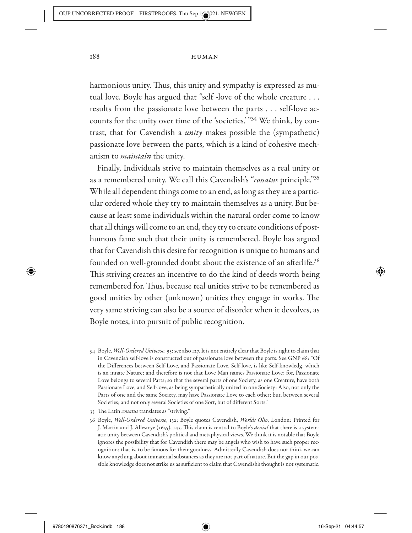harmonious unity. Thus, this unity and sympathy is expressed as mutual love. Boyle has argued that "self - love of the whole creature . . . results from the passionate love between the parts . . . self-love accounts for the unity over time of the 'societies.' "34 We think, by contrast, that for Cavendish a *unity* makes possible the (sympathetic) passionate love between the parts, which is a kind of cohesive mechanism to *maintain* the unity.

Finally, Individuals strive to maintain themselves as a real unity or as a remembered unity. We call this Cavendish's "*conatus* principle."35 While all dependent things come to an end, as long as they are a particular ordered whole they try to maintain themselves as a unity. But because at least some individuals within the natural order come to know that all things will come to an end, they try to create conditions of posthumous fame such that their unity is remembered. Boyle has argued that for Cavendish this desire for recognition is unique to humans and founded on well-grounded doubt about the existence of an afterlife.<sup>36</sup> This striving creates an incentive to do the kind of deeds worth being remembered for. Thus, because real unities strive to be remembered as good unities by other (unknown) unities they engage in works. The very same striving can also be a source of disorder when it devolves, as Boyle notes, into pursuit of public recognition.

◈

 <sup>34</sup> Boyle, *Well- Ordered Universe*, 93; see also 127. It is not entirely clear that Boyle is right to claim that in Cavendish self-love is constructed out of passionate love between the parts. See GNP 68: "Of the Differences between Self-Love, and Passionate Love. Self-love, is like Self-knowledg, which is an innate Nature; and therefore is not that Love Man names Passionate Love: for, Passionate Love belongs to several Parts; so that the several parts of one Society, as one Creature, have both Passionate Love, and Self-love, as being sympathetically united in one Society: Also, not only the Parts of one and the same Society, may have Passionate Love to each other; but, between several Societies; and not only several Societies of one Sort, but of different Sorts."

 <sup>35</sup> The Latin *conatus* translates as "striving."

 <sup>36</sup> Boyle, *Well- Ordered Universe*, 132; Boyle quotes Cavendish, *Worlds Olio*, London: Printed for J. Martin and J. Allestrye (1655), 145. This claim is central to Boyle's *denial* that there is a systematic unity between Cavendish's political and metaphysical views. We think it is notable that Boyle ignores the possibility that for Cavendish there may be angels who wish to have such proper recognition; that is, to be famous for their goodness. Admittedly Cavendish does not think we can know anything about immaterial substances as they are not part of nature. But the gap in our possible knowledge does not strike us as sufficient to claim that Cavendish's thought is not systematic.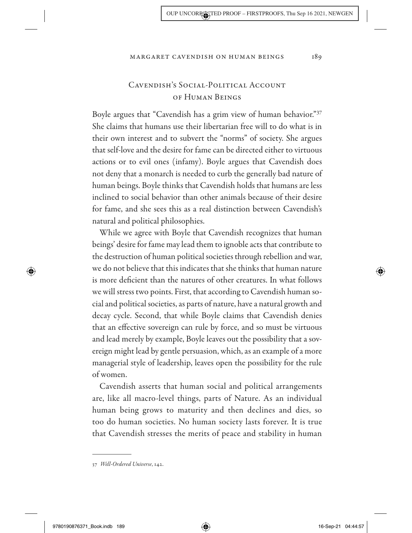# CAVENDISH'S SOCIAL-POLITICAL ACCOUNT of Human Beings

Boyle argues that "Cavendish has a grim view of human behavior."<sup>37</sup> She claims that humans use their libertarian free will to do what is in their own interest and to subvert the "norms" of society. She argues that self- love and the desire for fame can be directed either to virtuous actions or to evil ones (infamy). Boyle argues that Cavendish does not deny that a monarch is needed to curb the generally bad nature of human beings. Boyle thinks that Cavendish holds that humans are less inclined to social behavior than other animals because of their desire for fame, and she sees this as a real distinction between Cavendish's natural and political philosophies.

While we agree with Boyle that Cavendish recognizes that human beings' desire for fame may lead them to ignoble acts that contribute to the destruction of human political societies through rebellion and war, we do not believe that this indicates that she thinks that human nature is more deficient than the natures of other creatures. In what follows we will stress two points. First, that according to Cavendish human social and political societies, as parts of nature, have a natural growth and decay cycle. Second, that while Boyle claims that Cavendish denies that an effective sovereign can rule by force, and so must be virtuous and lead merely by example, Boyle leaves out the possibility that a sovereign might lead by gentle persuasion, which, as an example of a more managerial style of leadership, leaves open the possibility for the rule of women.

Cavendish asserts that human social and political arrangements are, like all macro- level things, parts of Nature. As an individual human being grows to maturity and then declines and dies, so too do human societies. No human society lasts forever. It is true that Cavendish stresses the merits of peace and stability in human

◈

 $\textcircled{\textcircled{\char'42}}$ 

 <sup>37</sup> *Well- Ordered Universe*, 142.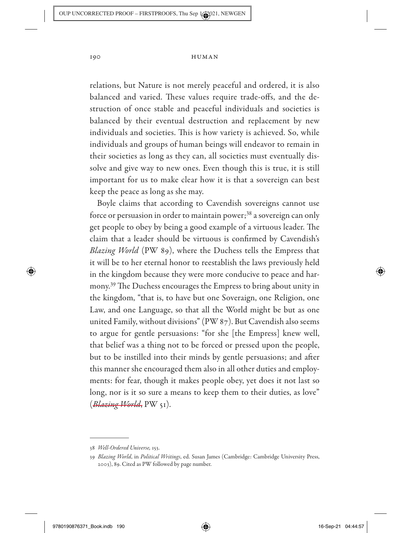relations, but Nature is not merely peaceful and ordered, it is also balanced and varied. These values require trade-offs, and the destruction of once stable and peaceful individuals and societies is balanced by their eventual destruction and replacement by new individuals and societies. This is how variety is achieved. So, while individuals and groups of human beings will endeavor to remain in their societies as long as they can, all societies must eventually dissolve and give way to new ones. Even though this is true, it is still important for us to make clear how it is that a sovereign can best keep the peace as long as she may.

Boyle claims that according to Cavendish sovereigns cannot use force or persuasion in order to maintain power; $38$  a sovereign can only get people to obey by being a good example of a virtuous leader. The claim that a leader should be virtuous is confirmed by Cavendish's *Blazing World* (PW 89), where the Duchess tells the Empress that it will be to her eternal honor to reestablish the laws previously held in the kingdom because they were more conducive to peace and harmony.39 The Duchess encourages the Empress to bring about unity in the kingdom, "that is, to have but one Soveraign, one Religion, one Law, and one Language, so that all the World might be but as one united Family, without divisions" (PW 87). But Cavendish also seems to argue for gentle persuasions: "for she [the Empress] knew well, that belief was a thing not to be forced or pressed upon the people, but to be instilled into their minds by gentle persuasions; and after this manner she encouraged them also in all other duties and employments: for fear, though it makes people obey, yet does it not last so long, nor is it so sure a means to keep them to their duties, as love" (*Blazing World*, PW 51).

◈

 <sup>38</sup> *Well- Ordered Universe,* 153.

 <sup>39</sup> *Blazing World*, in *Political Writings*, ed. Susan James (Cambridge: Cambridge University Press, 2003), 89. Cited as PW followed by page number.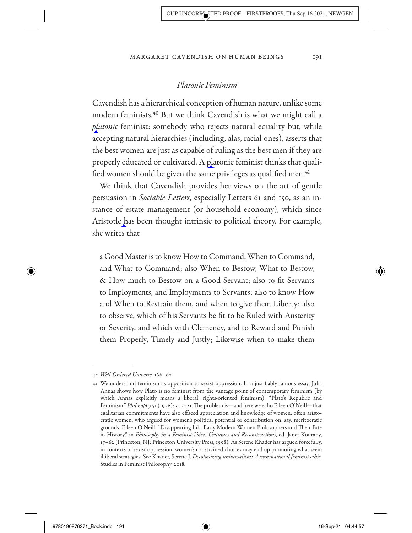# *Platonic Feminism*

Cavendish has a hierarchical conception of human nature, unlike some modern feminists.40 But we think Cavendish is what we might call a *platonic* feminist: somebody who rejects natural equality but, while accepting natural hierarchies (including, alas, racial ones), asserts that the best women are just as capable of ruling as the best men if they are properly educated or cultivated. A platonic feminist thinks that qualified women should be given the same privileges as qualified men.<sup>41</sup>

We think that Cavendish provides her views on the art of gentle persuasion in *Sociable Letters*, especially Letters 61 and 150, as an instance of estate management (or household economy), which since Aristotle has been thought intrinsic to political theory. For example, she writes that

a Good Master is to know How to Command, When to Command, and What to Command; also When to Bestow, What to Bestow, & How much to Bestow on a Good Servant; also to fit Servants to Imployments, and Imployments to Servants; also to know How and When to Restrain them, and when to give them Liberty; also to observe, which of his Servants be fit to be Ruled with Austerity or Severity, and which with Clemency, and to Reward and Punish them Properly, Timely and Justly; Likewise when to make them

◈

 <sup>40</sup> *Well- Ordered Universe,* 166– 67.

 <sup>41</sup> We understand feminism as opposition to sexist oppression. In a justifiably famous essay, Julia Annas shows how Plato is no feminist from the vantage point of contemporary feminism (by which Annas explicitly means a liberal, rights-oriented feminism); "Plato's Republic and Feminism," *Philosophy* 51 (1976): 307–21. The problem is—and here we echo Eileen O'Neill—that egalitarian commitments have also effaced appreciation and knowledge of women, often aristocratic women, who argued for women's political potential or contribution on, say, meritocratic grounds. Eileen O'Neill, "Disappearing Ink: Early Modern Women Philosophers and Their Fate in History," in *Philosophy in a Feminist Voice: Critiques and Reconstructions*, ed. Janet Kourany, 17– 62 (Princeton, NJ: Princeton University Press, 1998). As Serene Khader has argued forcefully, in contexts of sexist oppression, women's constrained choices may end up promoting what seem illiberal strategies. See Khader, Serene J. *Decolonizing universalism: A transnational feminist ethic*. Studies in Feminist Philosophy, 2018.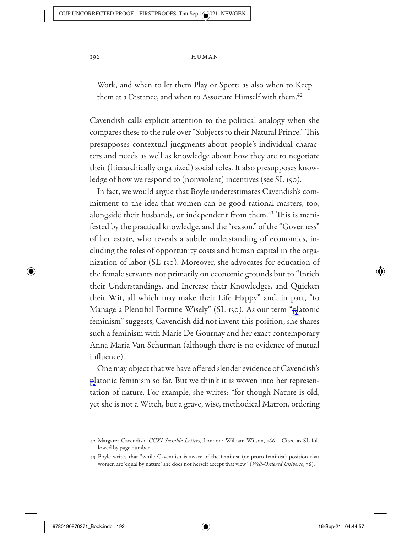Work, and when to let them Play or Sport; as also when to Keep them at a Distance, and when to Associate Himself with them.<sup>42</sup>

Cavendish calls explicit attention to the political analogy when she compares these to the rule over "Subjects to their Natural Prince." This presupposes contextual judgments about people's individual characters and needs as well as knowledge about how they are to negotiate their (hierarchically organized) social roles. It also presupposes knowledge of how we respond to (nonviolent) incentives (see SL 150).

In fact, we would argue that Boyle underestimates Cavendish's commitment to the idea that women can be good rational masters, too, alongside their husbands, or independent from them.<sup>43</sup> This is manifested by the practical knowledge, and the "reason," of the "Governess" of her estate, who reveals a subtle understanding of economics, including the roles of opportunity costs and human capital in the organization of labor (SL 150). Moreover, she advocates for education of the female servants not primarily on economic grounds but to "Inrich their Understandings, and Increase their Knowledges, and Quicken their Wit, all which may make their Life Happy" and, in part, "to Manage a Plentiful Fortune Wisely" (SL 150). As our term "platonic feminism" suggests, Cavendish did not invent this position; she shares such a feminism with Marie De Gournay and her exact contemporary Anna Maria Van Schurman (although there is no evidence of mutual influence).

One may object that we have offered slender evidence of Cavendish's platonic feminism so far. But we think it is woven into her representation of nature. For example, she writes: "for though Nature is old, yet she is not a Witch, but a grave, wise, methodical Matron, ordering

↔

 <sup>42</sup> Margaret Cavendish, *CCXI Sociable Letters*, London: William Wilson, 1664. Cited as SL followed by page number.

 <sup>43</sup> Boyle writes that "while Cavendish is aware of the feminist (or proto- feminist) position that women are 'equal by nature,' she does not herself accept that view" (*Well- Ordered Universe*, 76).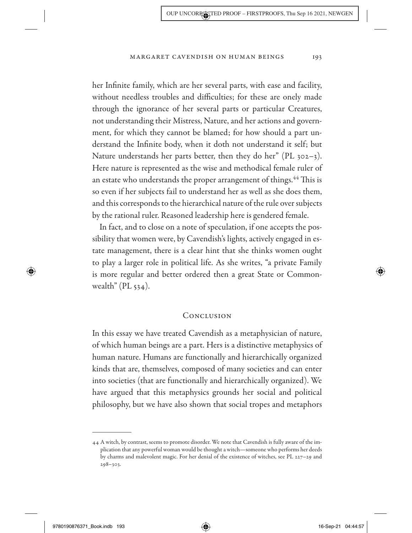her Infinite family, which are her several parts, with ease and facility, without needless troubles and difficulties; for these are onely made through the ignorance of her several parts or particular Creatures, not understanding their Mistress, Nature, and her actions and government, for which they cannot be blamed; for how should a part understand the Infinite body, when it doth not understand it self; but Nature understands her parts better, then they do her" (PL  $302-3$ ). Here nature is represented as the wise and methodical female ruler of an estate who understands the proper arrangement of things.<sup>44</sup> This is so even if her subjects fail to understand her as well as she does them, and this corresponds to the hierarchical nature of the rule over subjects by the rational ruler. Reasoned leadership here is gendered female.

In fact, and to close on a note of speculation, if one accepts the possibility that women were, by Cavendish's lights, actively engaged in estate management, there is a clear hint that she thinks women ought to play a larger role in political life. As she writes, "a private Family is more regular and better ordered then a great State or Commonwealth" ( $PL$  534).

### Conclusion

In this essay we have treated Cavendish as a metaphysician of nature, of which human beings are a part. Hers is a distinctive metaphysics of human nature. Humans are functionally and hierarchically organized kinds that are, themselves, composed of many societies and can enter into societies (that are functionally and hierarchically organized). We have argued that this metaphysics grounds her social and political philosophy, but we have also shown that social tropes and metaphors

9780190876371\_Book.indb 193 780190876371\_Book.indb 193

↔

⇔

 <sup>44</sup> A witch, by contrast, seems to promote disorder. We note that Cavendish is fully aware of the implication that any powerful woman would be thought a witch— someone who performs her deeds by charms and malevolent magic. For her denial of the existence of witches, see PL 227-29 and  $298 - 303.$